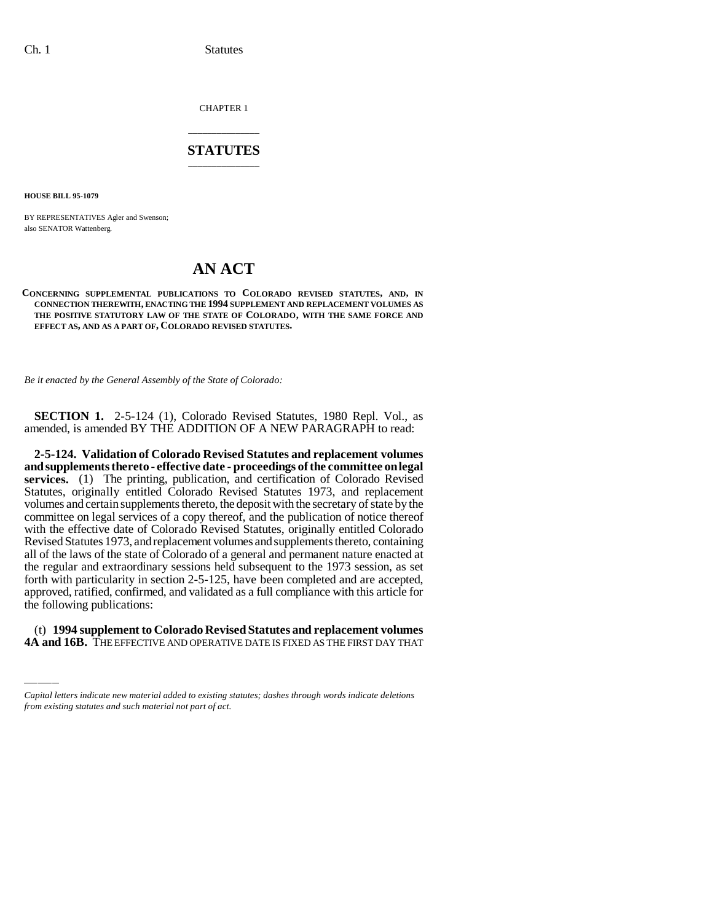CHAPTER 1

## \_\_\_\_\_\_\_\_\_\_\_\_\_\_\_ **STATUTES** \_\_\_\_\_\_\_\_\_\_\_\_\_\_\_

**HOUSE BILL 95-1079**

BY REPRESENTATIVES Agler and Swenson; also SENATOR Wattenberg.

## **AN ACT**

## **CONCERNING SUPPLEMENTAL PUBLICATIONS TO COLORADO REVISED STATUTES, AND, IN CONNECTION THEREWITH, ENACTING THE 1994 SUPPLEMENT AND REPLACEMENT VOLUMES AS THE POSITIVE STATUTORY LAW OF THE STATE OF COLORADO, WITH THE SAME FORCE AND EFFECT AS, AND AS A PART OF, COLORADO REVISED STATUTES.**

*Be it enacted by the General Assembly of the State of Colorado:*

**SECTION 1.** 2-5-124 (1), Colorado Revised Statutes, 1980 Repl. Vol., as amended, is amended BY THE ADDITION OF A NEW PARAGRAPH to read:

approved, ratified, confirmed, and validated as a full compliance with this article for **2-5-124. Validation of Colorado Revised Statutes and replacement volumes and supplements thereto - effective date - proceedings of the committee on legal services.** (1) The printing, publication, and certification of Colorado Revised Statutes, originally entitled Colorado Revised Statutes 1973, and replacement volumes and certain supplements thereto, the deposit with the secretary of state by the committee on legal services of a copy thereof, and the publication of notice thereof with the effective date of Colorado Revised Statutes, originally entitled Colorado Revised Statutes 1973, and replacement volumes and supplements thereto, containing all of the laws of the state of Colorado of a general and permanent nature enacted at the regular and extraordinary sessions held subsequent to the 1973 session, as set forth with particularity in section 2-5-125, have been completed and are accepted, the following publications:

(t) **1994 supplement to Colorado Revised Statutes and replacement volumes 4A and 16B.** THE EFFECTIVE AND OPERATIVE DATE IS FIXED AS THE FIRST DAY THAT

*Capital letters indicate new material added to existing statutes; dashes through words indicate deletions from existing statutes and such material not part of act.*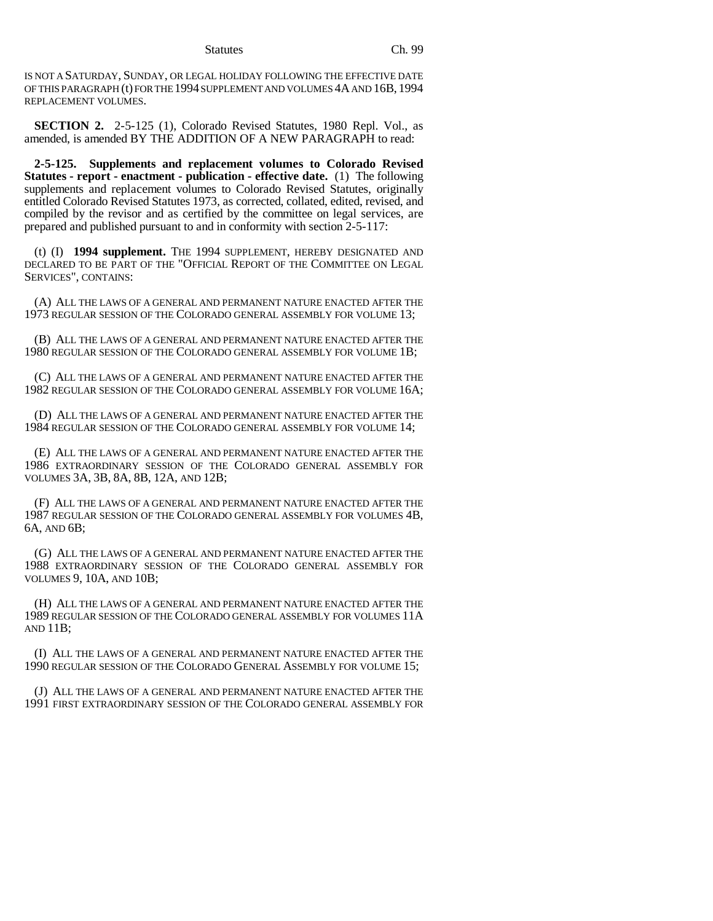Statutes Ch. 99

IS NOT A SATURDAY, SUNDAY, OR LEGAL HOLIDAY FOLLOWING THE EFFECTIVE DATE OF THIS PARAGRAPH (t) FOR THE 1994 SUPPLEMENT AND VOLUMES 4A AND 16B, 1994 REPLACEMENT VOLUMES.

**SECTION 2.** 2-5-125 (1), Colorado Revised Statutes, 1980 Repl. Vol., as amended, is amended BY THE ADDITION OF A NEW PARAGRAPH to read:

**2-5-125. Supplements and replacement volumes to Colorado Revised Statutes - report - enactment - publication - effective date.** (1) The following supplements and replacement volumes to Colorado Revised Statutes, originally entitled Colorado Revised Statutes 1973, as corrected, collated, edited, revised, and compiled by the revisor and as certified by the committee on legal services, are prepared and published pursuant to and in conformity with section 2-5-117:

(t) (I) **1994 supplement.** THE 1994 SUPPLEMENT, HEREBY DESIGNATED AND DECLARED TO BE PART OF THE "OFFICIAL REPORT OF THE COMMITTEE ON LEGAL SERVICES", CONTAINS:

(A) ALL THE LAWS OF A GENERAL AND PERMANENT NATURE ENACTED AFTER THE 1973 REGULAR SESSION OF THE COLORADO GENERAL ASSEMBLY FOR VOLUME 13;

(B) ALL THE LAWS OF A GENERAL AND PERMANENT NATURE ENACTED AFTER THE 1980 REGULAR SESSION OF THE COLORADO GENERAL ASSEMBLY FOR VOLUME 1B;

(C) ALL THE LAWS OF A GENERAL AND PERMANENT NATURE ENACTED AFTER THE 1982 REGULAR SESSION OF THE COLORADO GENERAL ASSEMBLY FOR VOLUME 16A;

(D) ALL THE LAWS OF A GENERAL AND PERMANENT NATURE ENACTED AFTER THE 1984 REGULAR SESSION OF THE COLORADO GENERAL ASSEMBLY FOR VOLUME 14;

(E) ALL THE LAWS OF A GENERAL AND PERMANENT NATURE ENACTED AFTER THE 1986 EXTRAORDINARY SESSION OF THE COLORADO GENERAL ASSEMBLY FOR VOLUMES 3A, 3B, 8A, 8B, 12A, AND 12B;

(F) ALL THE LAWS OF A GENERAL AND PERMANENT NATURE ENACTED AFTER THE 1987 REGULAR SESSION OF THE COLORADO GENERAL ASSEMBLY FOR VOLUMES 4B, 6A, AND 6B;

(G) ALL THE LAWS OF A GENERAL AND PERMANENT NATURE ENACTED AFTER THE 1988 EXTRAORDINARY SESSION OF THE COLORADO GENERAL ASSEMBLY FOR VOLUMES 9, 10A, AND 10B;

(H) ALL THE LAWS OF A GENERAL AND PERMANENT NATURE ENACTED AFTER THE 1989 REGULAR SESSION OF THE COLORADO GENERAL ASSEMBLY FOR VOLUMES 11A AND 11B;

(I) ALL THE LAWS OF A GENERAL AND PERMANENT NATURE ENACTED AFTER THE 1990 REGULAR SESSION OF THE COLORADO GENERAL ASSEMBLY FOR VOLUME 15;

(J) ALL THE LAWS OF A GENERAL AND PERMANENT NATURE ENACTED AFTER THE 1991 FIRST EXTRAORDINARY SESSION OF THE COLORADO GENERAL ASSEMBLY FOR